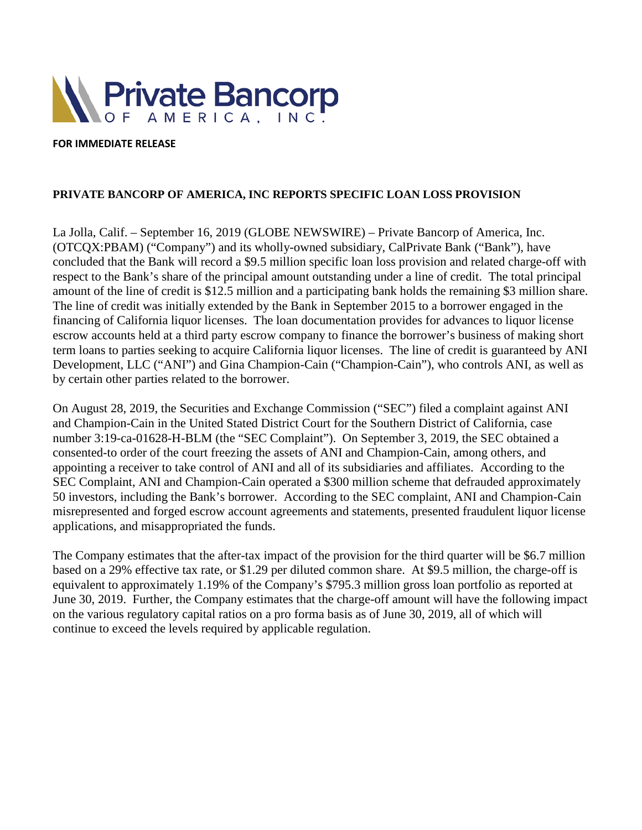

#### **FOR IMMEDIATE RELEASE**

#### **PRIVATE BANCORP OF AMERICA, INC REPORTS SPECIFIC LOAN LOSS PROVISION**

La Jolla, Calif. – September 16, 2019 (GLOBE NEWSWIRE) – Private Bancorp of America, Inc. (OTCQX:PBAM) ("Company") and its wholly-owned subsidiary, CalPrivate Bank ("Bank"), have concluded that the Bank will record a \$9.5 million specific loan loss provision and related charge-off with respect to the Bank's share of the principal amount outstanding under a line of credit. The total principal amount of the line of credit is \$12.5 million and a participating bank holds the remaining \$3 million share. The line of credit was initially extended by the Bank in September 2015 to a borrower engaged in the financing of California liquor licenses. The loan documentation provides for advances to liquor license escrow accounts held at a third party escrow company to finance the borrower's business of making short term loans to parties seeking to acquire California liquor licenses. The line of credit is guaranteed by ANI Development, LLC ("ANI") and Gina Champion-Cain ("Champion-Cain"), who controls ANI, as well as by certain other parties related to the borrower.

On August 28, 2019, the Securities and Exchange Commission ("SEC") filed a complaint against ANI and Champion-Cain in the United Stated District Court for the Southern District of California, case number 3:19-ca-01628-H-BLM (the "SEC Complaint"). On September 3, 2019, the SEC obtained a consented-to order of the court freezing the assets of ANI and Champion-Cain, among others, and appointing a receiver to take control of ANI and all of its subsidiaries and affiliates. According to the SEC Complaint, ANI and Champion-Cain operated a \$300 million scheme that defrauded approximately 50 investors, including the Bank's borrower. According to the SEC complaint, ANI and Champion-Cain misrepresented and forged escrow account agreements and statements, presented fraudulent liquor license applications, and misappropriated the funds.

The Company estimates that the after-tax impact of the provision for the third quarter will be \$6.7 million based on a 29% effective tax rate, or \$1.29 per diluted common share. At \$9.5 million, the charge-off is equivalent to approximately 1.19% of the Company's \$795.3 million gross loan portfolio as reported at June 30, 2019. Further, the Company estimates that the charge-off amount will have the following impact on the various regulatory capital ratios on a pro forma basis as of June 30, 2019, all of which will continue to exceed the levels required by applicable regulation.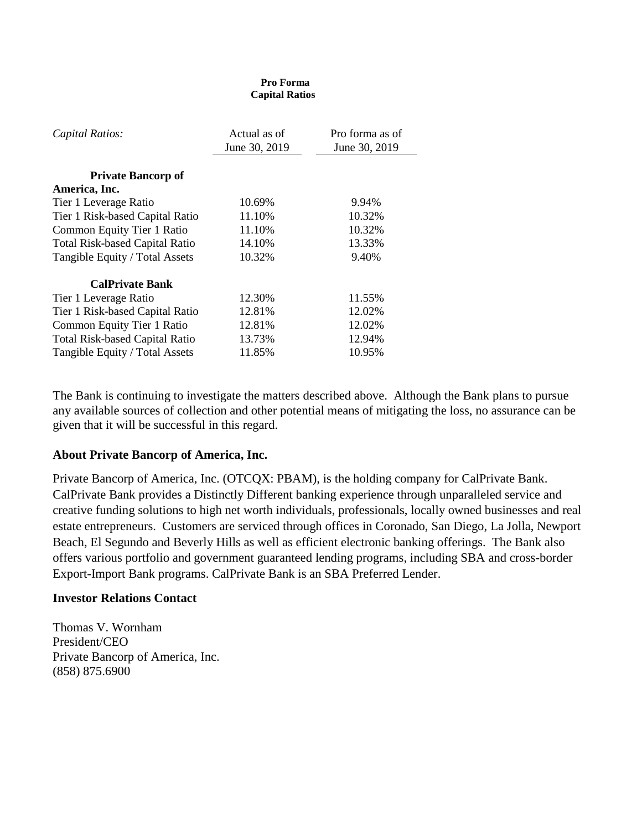#### **Pro Forma Capital Ratios**

| Capital Ratios:                       | Actual as of<br>June 30, 2019 | Pro forma as of<br>June 30, 2019 |
|---------------------------------------|-------------------------------|----------------------------------|
| <b>Private Bancorp of</b>             |                               |                                  |
| America, Inc.                         |                               |                                  |
| Tier 1 Leverage Ratio                 | 10.69%                        | 9.94%                            |
| Tier 1 Risk-based Capital Ratio       | 11.10%                        | 10.32%                           |
| Common Equity Tier 1 Ratio            | 11.10%                        | 10.32%                           |
| <b>Total Risk-based Capital Ratio</b> | 14.10%                        | 13.33%                           |
| Tangible Equity / Total Assets        | 10.32%                        | 9.40%                            |
| <b>CalPrivate Bank</b>                |                               |                                  |
| Tier 1 Leverage Ratio                 | 12.30%                        | 11.55%                           |
| Tier 1 Risk-based Capital Ratio       | 12.81%                        | 12.02%                           |
| Common Equity Tier 1 Ratio            | 12.81%                        | 12.02%                           |
| <b>Total Risk-based Capital Ratio</b> | 13.73%                        | 12.94%                           |
| Tangible Equity / Total Assets        | 11.85%                        | 10.95%                           |

The Bank is continuing to investigate the matters described above. Although the Bank plans to pursue any available sources of collection and other potential means of mitigating the loss, no assurance can be given that it will be successful in this regard.

# **About Private Bancorp of America, Inc.**

Private Bancorp of America, Inc. (OTCQX: PBAM), is the holding company for CalPrivate Bank. CalPrivate Bank provides a Distinctly Different banking experience through unparalleled service and creative funding solutions to high net worth individuals, professionals, locally owned businesses and real estate entrepreneurs. Customers are serviced through offices in Coronado, San Diego, La Jolla, Newport Beach, El Segundo and Beverly Hills as well as efficient electronic banking offerings. The Bank also offers various portfolio and government guaranteed lending programs, including SBA and cross-border Export-Import Bank programs. CalPrivate Bank is an SBA Preferred Lender.

# **Investor Relations Contact**

Thomas V. Wornham President/CEO Private Bancorp of America, Inc. (858) 875.6900